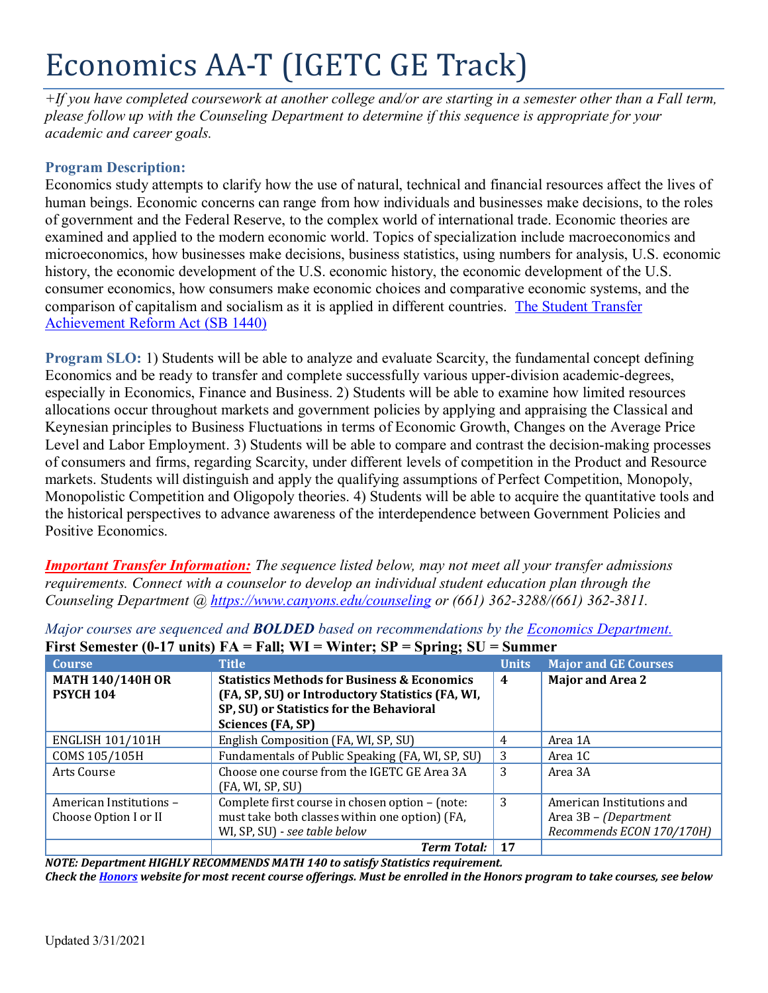# Economics AA-T (IGETC GE Track)

*+If you have completed coursework at another college and/or are starting in a semester other than a Fall term, please follow up with the Counseling Department to determine if this sequence is appropriate for your academic and career goals.* 

## **Program Description:**

Economics study attempts to clarify how the use of natural, technical and financial resources affect the lives of human beings. Economic concerns can range from how individuals and businesses make decisions, to the roles of government and the Federal Reserve, to the complex world of international trade. Economic theories are examined and applied to the modern economic world. Topics of specialization include macroeconomics and microeconomics, how businesses make decisions, business statistics, using numbers for analysis, U.S. economic history, the economic development of the U.S. economic history, the economic development of the U.S. consumer economics, how consumers make economic choices and comparative economic systems, and the comparison of capitalism and socialism as it is applied in different countries. [The Student Transfer](https://www2.calstate.edu/apply/transfer/Pages/ccc-associate-degree-for-transfer.aspx)  [Achievement Reform Act \(SB 1440\)](https://www2.calstate.edu/apply/transfer/Pages/ccc-associate-degree-for-transfer.aspx)

**Program SLO:** 1) Students will be able to analyze and evaluate Scarcity, the fundamental concept defining Economics and be ready to transfer and complete successfully various upper-division academic-degrees, especially in Economics, Finance and Business. 2) Students will be able to examine how limited resources allocations occur throughout markets and government policies by applying and appraising the Classical and Keynesian principles to Business Fluctuations in terms of Economic Growth, Changes on the Average Price Level and Labor Employment. 3) Students will be able to compare and contrast the decision-making processes of consumers and firms, regarding Scarcity, under different levels of competition in the Product and Resource markets. Students will distinguish and apply the qualifying assumptions of Perfect Competition, Monopoly, Monopolistic Competition and Oligopoly theories. 4) Students will be able to acquire the quantitative tools and the historical perspectives to advance awareness of the interdependence between Government Policies and Positive Economics.

*Important Transfer Information: The sequence listed below, may not meet all your transfer admissions requirements. Connect with a counselor to develop an individual student education plan through the Counseling Department @<https://www.canyons.edu/counseling> or (661) 362-3288/(661) 362-3811.*

| <b>Course</b>                               | <b>Title</b>                                                                                               | <b>Units</b> | <b>Major and GE Courses</b> |
|---------------------------------------------|------------------------------------------------------------------------------------------------------------|--------------|-----------------------------|
| <b>MATH 140/140H OR</b><br><b>PSYCH 104</b> | <b>Statistics Methods for Business &amp; Economics</b><br>(FA, SP, SU) or Introductory Statistics (FA, WI, | 4            | <b>Major and Area 2</b>     |
|                                             | SP, SU) or Statistics for the Behavioral                                                                   |              |                             |
|                                             | Sciences (FA, SP)                                                                                          |              |                             |
| <b>ENGLISH 101/101H</b>                     | English Composition (FA, WI, SP, SU)                                                                       | 4            | Area 1A                     |
| COMS 105/105H                               | Fundamentals of Public Speaking (FA, WI, SP, SU)                                                           | 3            | Area 1C                     |
| Arts Course                                 | Choose one course from the IGETC GE Area 3A                                                                | 3            | Area 3A                     |
|                                             | (FA, WI, SP, SU)                                                                                           |              |                             |
| American Institutions -                     | Complete first course in chosen option - (note:                                                            | 3            | American Institutions and   |
| Choose Option I or II                       | must take both classes within one option) (FA,                                                             |              | Area 3B – (Department       |
|                                             | WI, SP, SU) - see table below                                                                              |              | Recommends ECON 170/170H)   |
|                                             | <b>Term Total:</b>                                                                                         | 17           |                             |

*Major courses are sequenced and BOLDED based on recommendations by the Economics [Department.](https://www.canyons.edu/academics/economics/index.php)*  $\mathbf{F} = \mathbf{F}_0 \mathbf{H}$ ,  $\mathbf{W} \mathbf{I} = \mathbf{W}$  inter;  $\mathbf{F} \mathbf{D} = \mathbf{F} \mathbf{w}$  ing;  $\mathbf{S} \mathbf{H}$ 

*NOTE: Department HIGHLY RECOMMENDS MATH 140 to satisfy Statistics requirement. Check the [Honors](https://www.canyons.edu/academics/honors/index.php) website for most recent course offerings. Must be enrolled in the Honors program to take courses, see below*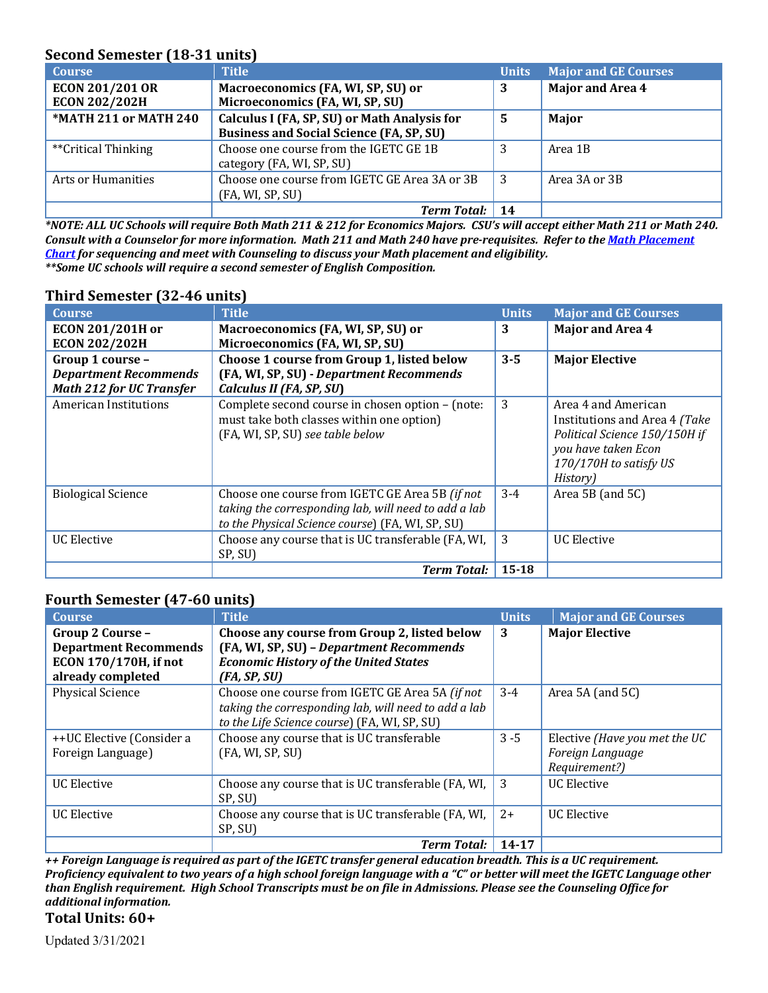# **Second Semester (18-31 units)**

| <b>Course</b>          | <b>Title</b>                                    | <b>Units</b> | <b>Major and GE Courses</b> |
|------------------------|-------------------------------------------------|--------------|-----------------------------|
| <b>ECON 201/201 OR</b> | Macroeconomics (FA, WI, SP, SU) or              | 3            | <b>Major and Area 4</b>     |
| <b>ECON 202/202H</b>   | Microeconomics (FA, WI, SP, SU)                 |              |                             |
| *MATH 211 or MATH 240  | Calculus I (FA, SP, SU) or Math Analysis for    | 5            | Major                       |
|                        | <b>Business and Social Science (FA, SP, SU)</b> |              |                             |
| **Critical Thinking    | Choose one course from the IGETC GE 1B          | 3            | Area 1B                     |
|                        | category (FA, WI, SP, SU)                       |              |                             |
| Arts or Humanities     | Choose one course from IGETC GE Area 3A or 3B   | -3           | Area 3A or 3B               |
|                        | (FA, WI, SP, SU)                                |              |                             |
|                        | <b>Term Total:</b>                              |              |                             |

*\*NOTE: ALL UC Schools will require Both Math 211 & 212 for Economics Majors. CSU's will accept either Math 211 or Math 240. Consult with a Counselor for more information. Math 211 and Math 240 have pre-requisites. Refer to th[e Math Placement](https://www.canyons.edu/_resources/documents/studentservices/assessment/math-english-sequence-updated-9-11-2020-.pdf)  [Chart](https://www.canyons.edu/_resources/documents/studentservices/assessment/math-english-sequence-updated-9-11-2020-.pdf) for sequencing and meet with Counseling to discuss your Math placement and eligibility. \*\*Some UC schools will require a second semester of English Composition.* 

| <b>Course</b>                   | <b>Title</b>                                         | <b>Units</b> | <b>Major and GE Courses</b>   |
|---------------------------------|------------------------------------------------------|--------------|-------------------------------|
| <b>ECON 201/201H or</b>         | Macroeconomics (FA, WI, SP, SU) or                   | 3            | Major and Area 4              |
| <b>ECON 202/202H</b>            | Microeconomics (FA, WI, SP, SU)                      |              |                               |
| Group 1 course -                | Choose 1 course from Group 1, listed below           | $3 - 5$      | <b>Major Elective</b>         |
| <b>Department Recommends</b>    | (FA, WI, SP, SU) - Department Recommends             |              |                               |
| <b>Math 212 for UC Transfer</b> | Calculus II (FA, SP, SU)                             |              |                               |
| American Institutions           | Complete second course in chosen option - (note:     | 3            | Area 4 and American           |
|                                 | must take both classes within one option)            |              | Institutions and Area 4 (Take |
|                                 | (FA, WI, SP, SU) see table below                     |              | Political Science 150/150H if |
|                                 |                                                      |              | you have taken Econ           |
|                                 |                                                      |              | 170/170H to satisfy US        |
|                                 |                                                      |              | History)                      |
| <b>Biological Science</b>       | Choose one course from IGETC GE Area 5B (if not      | $3-4$        | Area 5B (and 5C)              |
|                                 | taking the corresponding lab, will need to add a lab |              |                               |
|                                 | to the Physical Science course) (FA, WI, SP, SU)     |              |                               |
| UC Elective                     | Choose any course that is UC transferable (FA, WI,   | 3            | <b>UC</b> Elective            |
|                                 | SP, SU)                                              |              |                               |
|                                 | <b>Term Total:</b>                                   | $15 - 18$    |                               |

#### **Third Semester (32-46 units)**

# **Fourth Semester (47-60 units)**

| <b>Course</b>                                     | <b>Title</b>                                                                                                                                            | <b>Units</b> | <b>Major and GE Courses</b>                                        |
|---------------------------------------------------|---------------------------------------------------------------------------------------------------------------------------------------------------------|--------------|--------------------------------------------------------------------|
| Group 2 Course -<br><b>Department Recommends</b>  | Choose any course from Group 2, listed below<br>(FA, WI, SP, SU) - Department Recommends                                                                | 3            | <b>Major Elective</b>                                              |
| <b>ECON 170/170H, if not</b><br>already completed | <b>Economic History of the United States</b><br>(FA, SP, SU)                                                                                            |              |                                                                    |
| <b>Physical Science</b>                           | Choose one course from IGETC GE Area 5A (if not<br>taking the corresponding lab, will need to add a lab<br>to the Life Science course) (FA, WI, SP, SU) | $3 - 4$      | Area 5A (and 5C)                                                   |
| ++UC Elective (Consider a<br>Foreign Language)    | Choose any course that is UC transferable<br>(FA, WI, SP, SU)                                                                                           | $3 - 5$      | Elective (Have you met the UC<br>Foreign Language<br>Requirement?) |
| <b>UC</b> Elective                                | Choose any course that is UC transferable (FA, WI,<br>SP, SU)                                                                                           | -3           | <b>UC</b> Elective                                                 |
| <b>UC</b> Elective                                | Choose any course that is UC transferable (FA, WI,<br>SP, SU)                                                                                           | $2+$         | <b>UC Elective</b>                                                 |
|                                                   | <b>Term Total:</b>                                                                                                                                      | 14-17        |                                                                    |

*++ Foreign Language is required as part of the IGETC transfer general education breadth. This is a UC requirement. Proficiency equivalent to two years of a high school foreign language with a "C" or better will meet the IGETC Language other than English requirement. High School Transcripts must be on file in Admissions. Please see the Counseling Office for additional information.*

# **Total Units: 60+**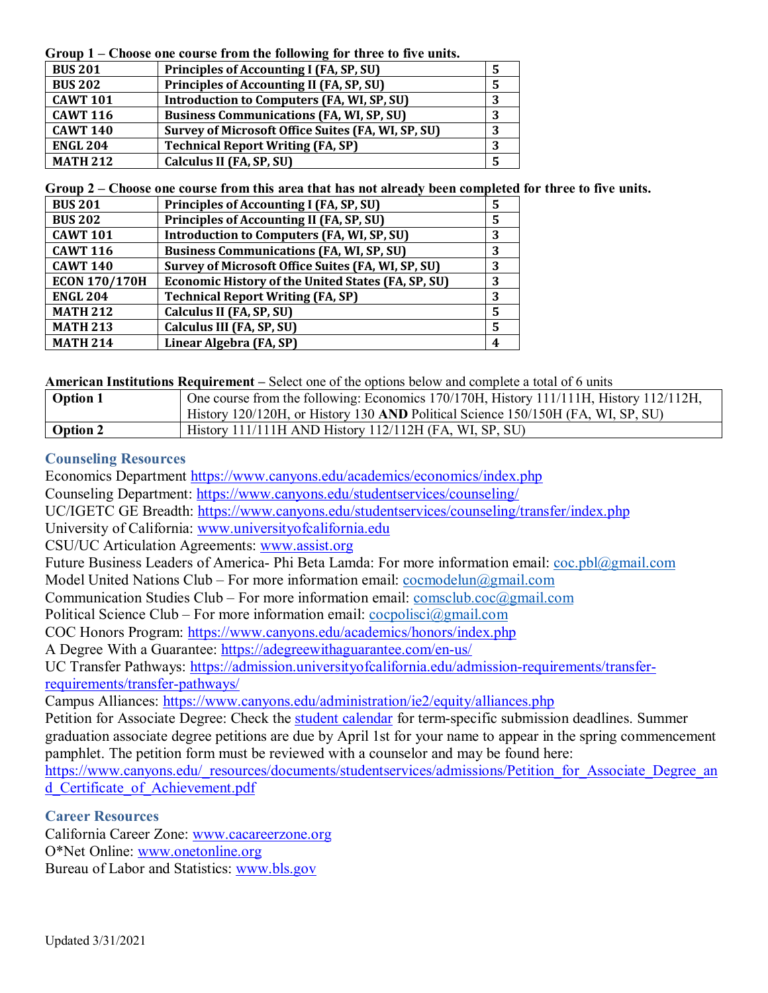**Group 1 – Choose one course from the following for three to five units.**

| <b>BUS 201</b>  | Principles of Accounting I (FA, SP, SU)                   | 5       |
|-----------------|-----------------------------------------------------------|---------|
| <b>BUS 202</b>  | Principles of Accounting II (FA, SP, SU)                  |         |
| <b>CAWT 101</b> | <b>Introduction to Computers (FA, WI, SP, SU)</b>         | 3       |
| <b>CAWT 116</b> | <b>Business Communications (FA, WI, SP, SU)</b>           | ּ<br>IJ |
| <b>CAWT 140</b> | <b>Survey of Microsoft Office Suites (FA, WI, SP, SU)</b> | 3       |
| <b>ENGL 204</b> | <b>Technical Report Writing (FA, SP)</b>                  | 3       |
| <b>MATH 212</b> | Calculus II (FA, SP, SU)                                  |         |

**Group 2 – Choose one course from this area that has not already been completed for three to five units.** 

| <b>BUS 201</b>       | Principles of Accounting I (FA, SP, SU)                   | 5 |
|----------------------|-----------------------------------------------------------|---|
| <b>BUS 202</b>       | Principles of Accounting II (FA, SP, SU)                  | 5 |
| <b>CAWT 101</b>      | Introduction to Computers (FA, WI, SP, SU)                | 3 |
| <b>CAWT 116</b>      | <b>Business Communications (FA, WI, SP, SU)</b>           | 3 |
| <b>CAWT 140</b>      | Survey of Microsoft Office Suites (FA, WI, SP, SU)        | 3 |
| <b>ECON 170/170H</b> | <b>Economic History of the United States (FA, SP, SU)</b> | 3 |
| <b>ENGL 204</b>      | <b>Technical Report Writing (FA, SP)</b>                  | 3 |
| <b>MATH 212</b>      | Calculus II (FA, SP, SU)                                  | 5 |
| <b>MATH 213</b>      | Calculus III (FA, SP, SU)                                 | 5 |
| <b>MATH 214</b>      | Linear Algebra (FA, SP)                                   | 4 |

**American Institutions Requirement –** Select one of the options below and complete a total of 6 units

| <b>Option 1</b> | One course from the following: Economics 170/170H, History 111/111H, History 112/112H, |  |
|-----------------|----------------------------------------------------------------------------------------|--|
|                 | History 120/120H, or History 130 AND Political Science 150/150H (FA, WI, SP, SU)       |  |
| <b>Option 2</b> | History $111/111H$ AND History $112/112H$ (FA, WI, SP, SU)                             |  |

# **Counseling Resources**

Economics Department<https://www.canyons.edu/academics/economics/index.php>

Counseling Department:<https://www.canyons.edu/studentservices/counseling/>

UC/IGETC GE Breadth:<https://www.canyons.edu/studentservices/counseling/transfer/index.php>

University of California: [www.universityofcalifornia.edu](http://www.universityofcalifornia.edu/)

CSU/UC Articulation Agreements: [www.assist.org](http://www.assist.org/)

Future Business Leaders of America- Phi Beta Lamda: For more information email: [coc.pbl@gmail.com](mailto:coc.pbl@gmail.com) Model United Nations Club – For more information email: [cocmodelun@gmail.com](mailto:%20rclopez1@my.canyons.edu)

Communication Studies Club – For more information email: [comsclub.coc@gmail.com](mailto:comsclub.coc@gmail.com)

Political Science Club – For more information email:  $coopolisci@gmail.com$ 

COC Honors Program:<https://www.canyons.edu/academics/honors/index.php>

A Degree With a Guarantee:<https://adegreewithaguarantee.com/en-us/>

UC Transfer Pathways: [https://admission.universityofcalifornia.edu/admission-requirements/transfer](https://admission.universityofcalifornia.edu/admission-requirements/transfer-requirements/transfer-pathways/)[requirements/transfer-pathways/](https://admission.universityofcalifornia.edu/admission-requirements/transfer-requirements/transfer-pathways/)

Campus Alliances:<https://www.canyons.edu/administration/ie2/equity/alliances.php>

Petition for Associate Degree: Check the [student calendar](https://www.canyons.edu/administration/pio/calendars.php) for term-specific submission deadlines. Summer graduation associate degree petitions are due by April 1st for your name to appear in the spring commencement pamphlet. The petition form must be reviewed with a counselor and may be found here:

[https://www.canyons.edu/\\_resources/documents/studentservices/admissions/Petition\\_for\\_Associate\\_Degree\\_an](https://www.canyons.edu/_resources/documents/studentservices/admissions/Petition_for_Associate_Degree_and_Certificate_of_Achievement.pdf) [d\\_Certificate\\_of\\_Achievement.pdf](https://www.canyons.edu/_resources/documents/studentservices/admissions/Petition_for_Associate_Degree_and_Certificate_of_Achievement.pdf)

**Career Resources**

California Career Zone: [www.cacareerzone.org](http://www.cacareerzone.org/) O\*Net Online: [www.onetonline.org](http://www.onetonline.org/) Bureau of Labor and Statistics: [www.bls.gov](http://www.bls.gov/)